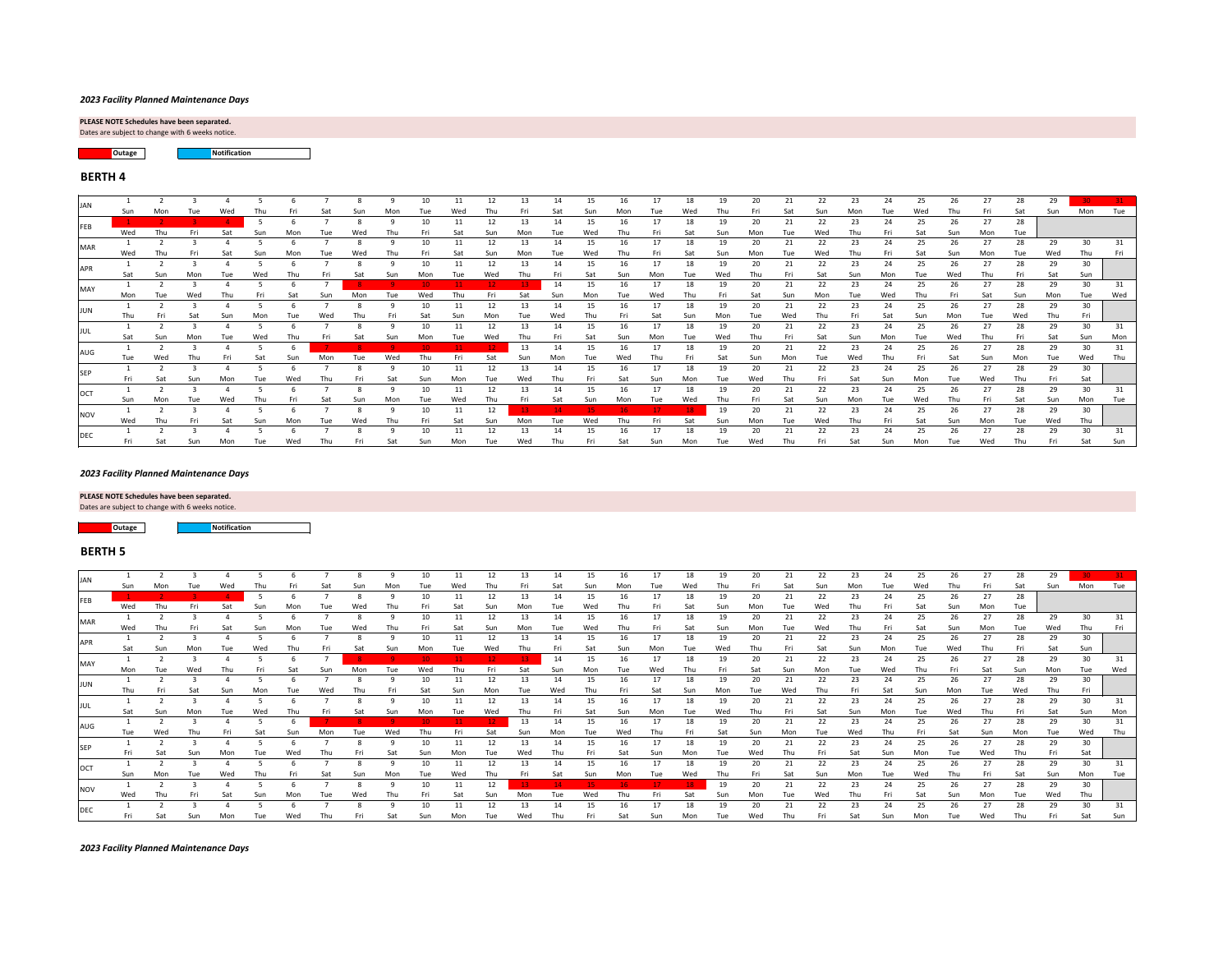Dates are subject to change with 6 weeks notice.

Dates are subject to change with 6 weeks notice. **PLEASE NOTE Schedules have been separated.** 

> **Outage Notification**

| JAN         |            |     |     |     |     |     |     |     |     |      |     |     | 13  |      |     |     |     | 18  |     | 20  | 21  | 22   | 23. | 24  |      |     | 27  | 28  | 29.   |     |     |
|-------------|------------|-----|-----|-----|-----|-----|-----|-----|-----|------|-----|-----|-----|------|-----|-----|-----|-----|-----|-----|-----|------|-----|-----|------|-----|-----|-----|-------|-----|-----|
|             | <b>Sun</b> |     |     |     |     |     | Sat |     | Mor | Tue  | Wed | Thu |     | Sat  | Sun | Mon | Tue | Wed | Thu | Fri | Sat | Sun  | Mon | Tue | Wed  | Thu | Fri | Sat | Sun   | Mon | Tue |
| FEB         |            |     |     |     |     |     |     |     |     | 10   | 11  | 12  | 13  | 14   | 15  | -16 | 17  | 18  | 19  | 20  | 21  | 22   | 23  | 24  | 25   | 26  | 27  | 28  |       |     |     |
|             | Wed        | Thu | Fri | Sat |     | Mon |     |     |     | Fri  | Sat | Sun | Mon | Tuel | Wed |     | Fri | Sat | Sun | Mon | Tue | Wed  | Thu | Fri | Sat  | Sun | Mon | Tue |       |     |     |
| <b>MAR</b>  |            |     |     |     |     |     |     |     |     | 10   | 11  | 12  | 13  | 14   | 15  |     | 17  | 18  | 19  | 20  | 21  | -22  | 23  | 24  | 25   | 26  | 27  | 28  | 29    | 30  | 31  |
|             | Wed        |     |     |     |     |     |     |     |     |      |     | Sun | Mon | Tue  | Wed |     |     | Sat |     | Mon |     |      | Thu | Fri |      | Sun | Mon | Tue | Wed   | Thu |     |
| <b>JAPR</b> |            |     |     |     |     |     |     |     |     |      |     | 12  | 13  | 14   |     |     | 17  | 18  |     | 20  | 21  |      | 23  | 24  |      | 26  | 27  | 28  | 29    | 30  |     |
|             | Sat        |     |     |     |     |     |     |     |     |      |     |     |     |      |     |     |     |     |     |     |     |      |     | Mon |      |     |     |     | Sat   | Sun |     |
| MAY         |            |     |     |     |     |     |     |     |     |      |     |     |     | 14   | 15  |     | 17  | 18  |     | 20  | 21  | 22   | 23  | 24  |      | 26. | 27  | -28 | 29.   | 30  |     |
|             | Mon        | Tue | Wed |     |     |     |     |     | Tue | Wed  |     | Fri |     | Sun  | Mon |     | Wed | Thu |     |     | sun |      | Tue | Wed |      |     |     | Sun | Mon   | Tue | Wed |
| JUN         |            |     |     |     |     |     |     |     |     |      |     | 12  | 13  | 14   | 15  |     | 17  | 18  | 19  | 20  | 21  | 22   | 23  | 24  |      | 26  | 27  | 28  | 29    | 30  |     |
|             |            |     |     |     |     |     |     |     |     | Sat  | Sun | Mon | Tue | Wed  | Thu |     | Sat | Sun | Mon | Tue | Wed | Thu  |     | Sat | Sun  | Mon | Tue | Wed | Thu   | Fri |     |
| <b>JUL</b>  |            |     |     |     |     |     |     |     |     |      | 11  | 12  | 13  | 14   | 15  | 16  | 17  | 18  | 19  | 20  | 21  | 22   | 23  | 24  | 25   | 26  | 27  | 28  | 29    | 30  | 31  |
|             | Sat        | Sun | Mon |     | Wed |     |     |     |     |      | īue | Wed |     | Fri. | Sat | Sun | Mon | Tue | Wed | Thu | Fri | Sat  | Sun | Mon | Tuel | Wed | Thu | Fri | Sat   | Sun | Mon |
| <b>AUG</b>  |            |     |     |     |     |     |     |     |     |      |     |     | 13  | 14   | 15  | 16  | 17  | 18  | 19  | 20  | 21  | 22   | 23  | 24  |      | 26  | 27  | 28  | 29    | 30  | 31  |
|             |            | Wed | Thu |     |     | Sun |     |     | Wed | Thu  |     | Sat | Sun | Mon  | Tue | Wed | Thu | Fri | Sat | Sun | Mon | Tuel | Wed | Thu |      | Sat | Sun | Mon | Tue   | Wed |     |
|             |            |     |     |     |     |     |     |     |     |      |     | 12  | 13  | 14   |     | 16  | 17  | 18  | 19  | 20  | 21  | 22   | 23  | 24  |      |     | 27  | 28  | 29    | 30  |     |
|             |            | Sat | Sun | Mon | Tue | Wed |     |     |     | Sun  | Mon | Tue | Wed | hu   | Fri | Sat | Sun | Mon | Tue | Wed | Thu | Fri  | Sat | Sun | Mon  | Tue | Wed | Thu | Frill | Sat |     |
| <b>OCT</b>  |            |     |     |     |     |     |     |     |     |      |     | 12  | 13  | 14   | 15  | 16  | 17  | 18  | 19  | 20  | 21  | 22   | 23  | 24  | 25   | 26. | 27  | 28  | 29    | 30  |     |
|             | Sun        | Mon | Tue | Wed | Thu | Fri | Sat | Sun | Mon | Tue  | Wed | Thu |     |      |     |     | Tue | Wed | Thu | Fri | Sat | Sun  | Mon | Tue | Wed  | Thu | Fri | Sat | Sun   | Mon | Tue |
| <b>INOV</b> |            |     |     |     |     |     |     |     |     |      | 11  | 12  |     |      |     |     |     | 18. | 19  | 20  | 21  | 22   | 23  | 24  | 25   | 26  | 27  | 28  | 29    | 30  |     |
|             | Wed        | Thu | Fri | Sat | Sun | Mon |     | Wed | Thu | Fri  | Sat | Sun | Mon | Tue  | Wed | Thu | Fri | Sat | Sun | Mon | Tue | Wed  | Thu | Fri | Sat  | Sun | Mon | Tue | Wed   | Thu |     |
| DEC         |            |     |     |     |     |     |     |     |     |      |     | 12  | 13  | 14   | 15  |     | 17  | 18  | 19  | 20  | 21  |      | 23  | 24  | 25   | 26  | 27  |     | 29    | 30  |     |
|             | Fri.       | Sat | Sun | Mon |     | Wed |     |     |     | Sun. | Mon | Tue | Wed |      | Fri |     | Sun | Mon |     | Wed |     |      |     | Sun | Mon  | Tue | Wed |     |       | Sat | Sun |

| <b>JAN</b> |     |     |     |     |     |     |      |     | 10  | 11  | 12  | 13  | 14  | 15  | 16  | 17              | 18  | 19  | 20. | 21  | 22  | 23  | 24  | 25  | 26.   | 27  | 28   | 29  |     |     |
|------------|-----|-----|-----|-----|-----|-----|------|-----|-----|-----|-----|-----|-----|-----|-----|-----------------|-----|-----|-----|-----|-----|-----|-----|-----|-------|-----|------|-----|-----|-----|
|            | Sun |     |     |     |     |     |      |     |     | Wed |     |     |     |     |     |                 | Wed |     |     |     |     |     |     |     |       |     | Sat  | Sun | Mon | Tue |
| FEB        |     |     |     |     |     |     |      |     | 10  | 11  | 12  | 13  | 14  | 15  | 16  |                 | 18  | 19  | 20  | 21  | 22  | 23  | 24  | 25  | 26    | 27  | 28   |     |     |     |
|            | Wed |     |     | Sat |     |     |      |     |     | Sat | Sun | Mon | Tue | Wed |     |                 | Sat | Sun | Mon | Tue | Wed | Thu | Fri | Sat | Sun   | Mon | Tue  |     |     |     |
| <b>MAR</b> |     |     |     |     |     |     |      |     | 10  |     | 12  | 13  | 14  | 15  | 16  | 17              | 18  | 19  | 20  | 21  | 22  | 23  | 24  | 25  | 26    | 27  | 28   | 29  | 30  |     |
|            | Wed | Thu | Fri | Sat | Mon | Tue |      | Thu |     | Sat | Sun | Mon | Tue | Wed |     |                 | Sat | Sun | Mon | Tue | Wed | Thu | Fri | Sat | Sun   | Mon | Tue  | Wed | Thu | Fri |
| <b>APR</b> |     |     |     |     |     |     |      |     | 10  | 11  | 12  | 13  | 14  | 15  | 16  | 17 <sub>2</sub> | 18  | 19  | 20  | 21  | 22  | 23  | 24  | 25  | 26    | 27  | 28   | 29  | 30  |     |
|            | Sat | Sun | Mon |     | ⊺hu |     |      |     |     |     | Wed |     |     | Sat | Sun | Mon             | Tue | Wed | Thu | Fri | Sat | Sun | Mon | Tue | Wed   | Thu | Fri  | Sat | Sun |     |
|            |     |     |     |     |     |     |      |     |     |     |     |     | 14  | 15  |     |                 | 18  | 19  | 20  | 21  | 22  | 23  | 24  | 25  | 26    | 27  | 28   | 29  | 30  |     |
| MAY        | Mon | Tue |     |     |     |     |      |     | Wec |     | Fri | Sat |     | Mon |     | Wed             | Thu | Fri | Sat | Sun | Mon | Tue | Wed |     | Fri I | Sat | Sun  | Mon | Tue | Wed |
|            |     |     |     |     |     |     |      |     |     |     | 12  | 13  | 14  | 15  |     |                 | 18  | 19  | 20  |     | 22  | 23  |     | 25  | 26    | 27  | 28   | 29  | 30  |     |
| JUN        |     |     |     |     |     |     |      |     |     |     |     |     |     |     |     |                 |     |     |     | Wed |     |     |     |     |       | Гuе | Wed  | Thu | Fri |     |
|            |     |     |     |     |     |     |      |     |     |     | 12  | 13  |     | 15  |     |                 | 18  | 19  | 20  | 21  | 22  | 23  |     | 25  | 26    | 27  | 28   | 29  | 30  |     |
| JUL        | Sat | Sun |     |     |     |     |      |     |     |     |     |     |     |     |     | Mon             | Tue | Wed |     | Fri | Sat | Sun | Mon |     | Wed   | Thu | Fri  | Sat | Sun | Mon |
|            |     |     |     |     |     |     |      |     |     |     |     | 13  | 14  | 15  | 16  | 17              | 18  | 19  | 20  | 21  | 22  | 23  | 24  | 25  | 26    | 27  | 28   | 29  | 30  |     |
| AUG        | Tue | Wed |     |     |     |     | Tuel | Wed |     |     | Sat | Sun | Mon | Tue | Wed | Thu             | Fri | Sat | Sun | Mon | Tue | Wed | Thu | Fri | Sat   | Sun | Mon  | Tue | Wed |     |
|            |     |     |     |     |     |     |      |     | 10  |     | 12  | 13  | 14  | 15  | 16  |                 | 18  | 19  | 20  | 21  | 22  | 23  | 24  | 25  | 26    | 27  | 28   | 29  | 30  |     |
| <b>SEP</b> | Fri |     |     | Mon |     |     |      | Sat | Sun | Mon | Tue | Wed | Thu | Fri | Sat | Sun             | Mon | Tue | Wed | Thu | Fri | Sat | Sun | Mon | Tue   | Wed | Thu  | Fri | Sat |     |
|            |     |     |     |     |     |     |      | Q   | 10  | 11  | 12  | 13  | 14  | 15  | 16  | 17              | 18  | 19  | 20  | 21  | 22  | 23  | 24  | 25  | 26    | 27  | -28  | 29  | 30  |     |
| <b>OCT</b> | Sun | Mon | Tue | Wed |     | Sat |      | Mon | Tue | Wed | Thu |     |     |     |     | Tue             | Wed |     | Fri | Sat | Sun | Mon | Tue | Wed | Thu   | Fri | Sat  | Sun | Mon |     |
|            |     |     |     |     |     |     |      |     |     |     | 12  |     |     |     |     |                 |     |     | 20  |     | 22  | 23  | 24  | 25  | 26    | 27  | 28   | 29  | 30  |     |
| <b>NOV</b> | Wed |     |     |     |     |     |      |     |     |     |     |     |     | Wed |     |                 |     |     | Mon |     |     |     |     |     |       | Mon | Tuel | Wed | Thu |     |
|            |     |     |     |     |     |     |      |     |     |     | 12  | 13  |     | 15  |     |                 | 18  |     | 20  | 21  | 22  | 23. | 24  |     |       | 27  | 28   | 29  | 30  |     |
| <b>DEC</b> | Fri | Sat |     |     |     |     |      |     |     |     |     |     |     |     |     |                 |     |     | Wed |     |     |     |     |     |       |     |      |     |     |     |

**Outage Notification**

*2023 Facility Planned Maintenance Days*

#### *2023 Facility Planned Maintenance Days*

## **PLEASE NOTE Schedules have been separated.**

## **BERTH 5**

#### *2023 Facility Planned Maintenance Days*

# **BERTH 4**